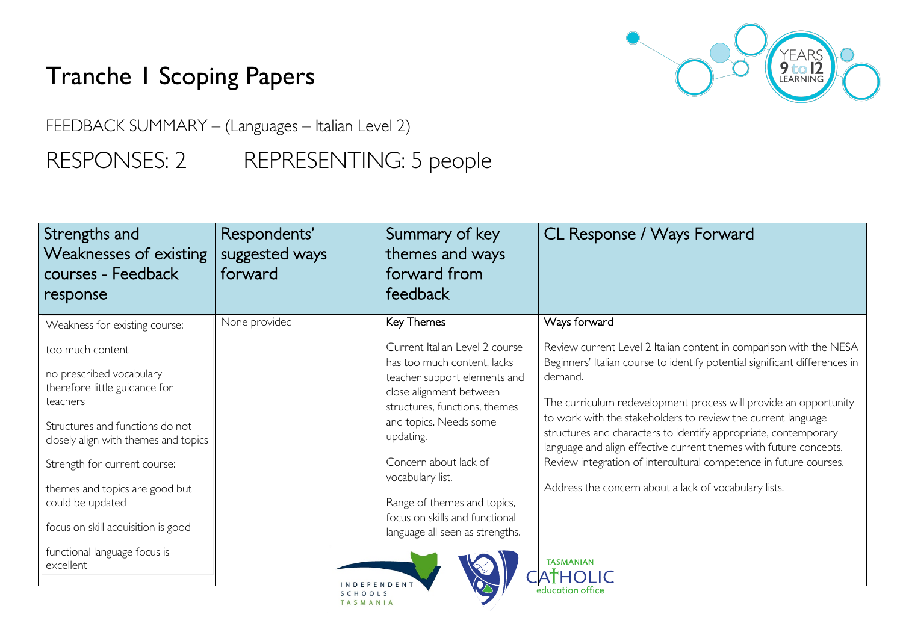# Tranche 1 Scoping Papers



FEEDBACK SUMMARY – (Languages – Italian Level 2)

## RESPONSES: 2 REPRESENTING: 5 people

| Strengths and<br>Weaknesses of existing<br>courses - Feedback<br>response | Respondents'<br>suggested ways<br>forward | Summary of key<br>themes and ways<br>forward from<br>feedback                            | CL Response / Ways Forward                                                                                                                                                                           |
|---------------------------------------------------------------------------|-------------------------------------------|------------------------------------------------------------------------------------------|------------------------------------------------------------------------------------------------------------------------------------------------------------------------------------------------------|
| Weakness for existing course:<br>too much content                         | None provided                             | Key Themes<br>Current Italian Level 2 course<br>has too much content, lacks              | Ways forward<br>Review current Level 2 Italian content in comparison with the NESA                                                                                                                   |
| no prescribed vocabulary<br>therefore little guidance for<br>teachers     |                                           | teacher support elements and<br>close alignment between<br>structures, functions, themes | Beginners' Italian course to identify potential significant differences in<br>demand.<br>The curriculum redevelopment process will provide an opportunity                                            |
| Structures and functions do not<br>closely align with themes and topics   |                                           | and topics. Needs some<br>updating.                                                      | to work with the stakeholders to review the current language<br>structures and characters to identify appropriate, contemporary<br>language and align effective current themes with future concepts. |
| Strength for current course:<br>themes and topics are good but            |                                           | Concern about lack of<br>vocabulary list.                                                | Review integration of intercultural competence in future courses.<br>Address the concern about a lack of vocabulary lists.                                                                           |
| could be updated                                                          |                                           | Range of themes and topics,<br>focus on skills and functional                            |                                                                                                                                                                                                      |
| focus on skill acquisition is good                                        |                                           | language all seen as strengths.                                                          |                                                                                                                                                                                                      |
| functional language focus is<br>excellent                                 | NOEDENOEM?                                |                                                                                          | <b>TASMANIAN</b><br><b>ATHOLIC</b>                                                                                                                                                                   |
|                                                                           | SCHOOLS<br>TASMANIA                       |                                                                                          | education office                                                                                                                                                                                     |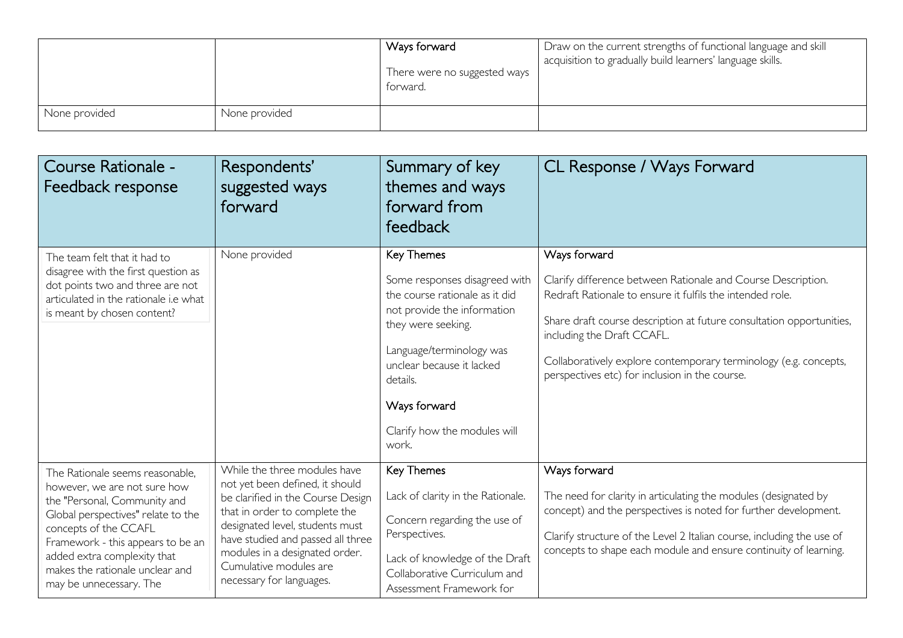|               |               | Ways forward<br>There were no suggested ways<br>torward. | Draw on the current strengths of functional language and skill<br>acquisition to gradually build learners' language skills. |
|---------------|---------------|----------------------------------------------------------|-----------------------------------------------------------------------------------------------------------------------------|
| None provided | None provided |                                                          |                                                                                                                             |

| Course Rationale -<br>Feedback response                                                                                                                                                                                                                                                          | Respondents'<br>suggested ways<br>forward                                                                                                                                                                                                                                                             | Summary of key<br>themes and ways<br>forward from<br>feedback                                                                                                                                                                                                           | CL Response / Ways Forward                                                                                                                                                                                                                                                                                                                                            |
|--------------------------------------------------------------------------------------------------------------------------------------------------------------------------------------------------------------------------------------------------------------------------------------------------|-------------------------------------------------------------------------------------------------------------------------------------------------------------------------------------------------------------------------------------------------------------------------------------------------------|-------------------------------------------------------------------------------------------------------------------------------------------------------------------------------------------------------------------------------------------------------------------------|-----------------------------------------------------------------------------------------------------------------------------------------------------------------------------------------------------------------------------------------------------------------------------------------------------------------------------------------------------------------------|
| The team felt that it had to<br>disagree with the first question as<br>dot points two and three are not<br>articulated in the rationale i.e what<br>is meant by chosen content?                                                                                                                  | None provided                                                                                                                                                                                                                                                                                         | <b>Key Themes</b><br>Some responses disagreed with<br>the course rationale as it did<br>not provide the information<br>they were seeking.<br>Language/terminology was<br>unclear because it lacked<br>details.<br>Ways forward<br>Clarify how the modules will<br>work. | Ways forward<br>Clarify difference between Rationale and Course Description.<br>Redraft Rationale to ensure it fulfils the intended role.<br>Share draft course description at future consultation opportunities,<br>including the Draft CCAFL.<br>Collaboratively explore contemporary terminology (e.g. concepts,<br>perspectives etc) for inclusion in the course. |
| The Rationale seems reasonable,<br>however, we are not sure how<br>the "Personal, Community and<br>Global perspectives" relate to the<br>concepts of the CCAFL<br>Framework - this appears to be an<br>added extra complexity that<br>makes the rationale unclear and<br>may be unnecessary. The | While the three modules have<br>not yet been defined, it should<br>be clarified in the Course Design<br>that in order to complete the<br>designated level, students must<br>have studied and passed all three<br>modules in a designated order.<br>Cumulative modules are<br>necessary for languages. | Key Themes<br>Lack of clarity in the Rationale.<br>Concern regarding the use of<br>Perspectives.<br>Lack of knowledge of the Draft<br>Collaborative Curriculum and<br>Assessment Framework for                                                                          | Ways forward<br>The need for clarity in articulating the modules (designated by<br>concept) and the perspectives is noted for further development.<br>Clarify structure of the Level 2 Italian course, including the use of<br>concepts to shape each module and ensure continuity of learning.                                                                       |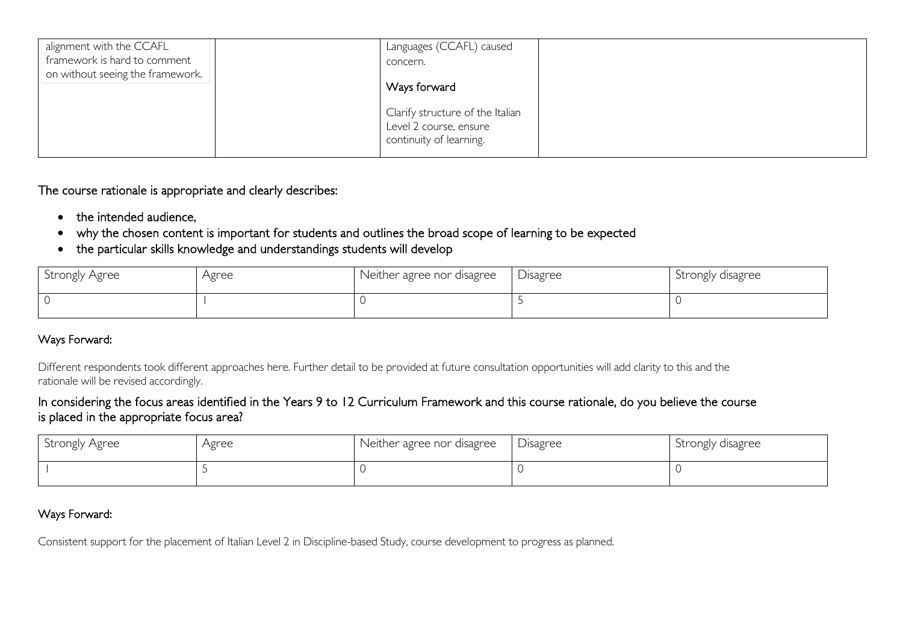| alignment with the CCAFL<br>framework is hard to comment<br>on without seeing the framework. | Languages (CCAFL) caused<br>concern.                                                  |  |
|----------------------------------------------------------------------------------------------|---------------------------------------------------------------------------------------|--|
|                                                                                              | Ways forward                                                                          |  |
|                                                                                              | Clarify structure of the Italian<br>Level 2 course, ensure<br>continuity of learning. |  |

The course rationale is appropriate and clearly describes:

- the intended audience,
- why the chosen content is important for students and outlines the broad scope of learning to be expected
- the particular skills knowledge and understandings students will develop

| Strongly Agree | Agree | Neither agree nor disagree | Disagree | Strongly disagree |
|----------------|-------|----------------------------|----------|-------------------|
|                |       |                            |          |                   |

### Ways Forward:

Different respondents took different approaches here. Further detail to be provided at future consultation opportunities will add clarity to this and the rationale will be revised accordingly.

#### In considering the focus areas identified in the Years 9 to 12 Curriculum Framework and this course rationale, do you believe the course is placed in the appropriate focus area?

| Strongly Agree | Agree | Neither agree nor disagree | Disagree | Strongly disagree |
|----------------|-------|----------------------------|----------|-------------------|
|                |       |                            |          |                   |

#### Ways Forward:

Consistent support for the placement of Italian Level 2 in Discipline-based Study, course development to progress as planned.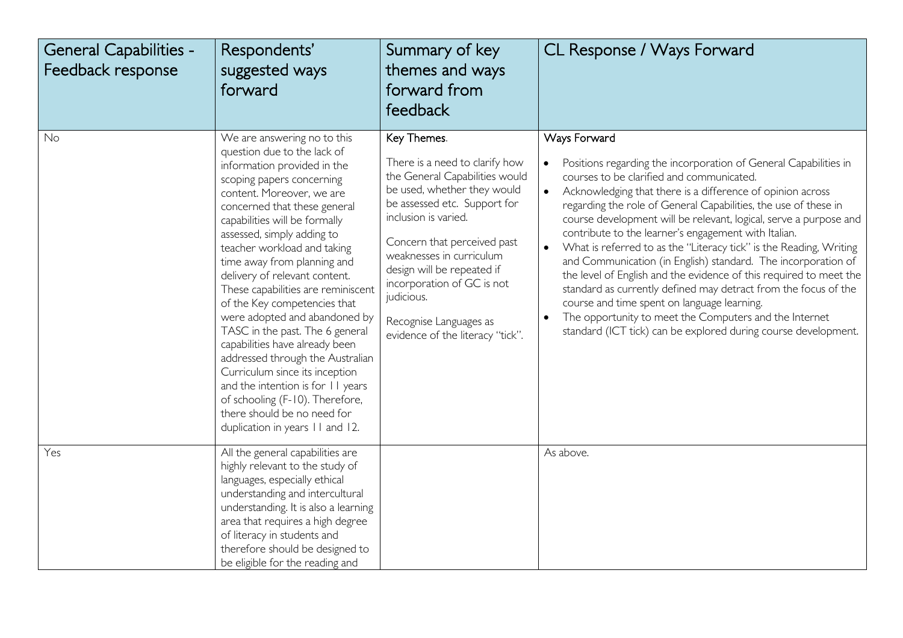| <b>General Capabilities -</b><br>Feedback response | Respondents'<br>suggested ways<br>forward                                                                                                                                                                                                                                                                                                                                                                                                                                                                                                                                                                                                                                                                                                     | Summary of key<br>themes and ways<br>forward from<br>feedback                                                                                                                                                                                                                                                                                                             | CL Response / Ways Forward                                                                                                                                                                                                                                                                                                                                                                                                                                                                                                                                                                                                                                                                                                                                                                                                                                                                    |
|----------------------------------------------------|-----------------------------------------------------------------------------------------------------------------------------------------------------------------------------------------------------------------------------------------------------------------------------------------------------------------------------------------------------------------------------------------------------------------------------------------------------------------------------------------------------------------------------------------------------------------------------------------------------------------------------------------------------------------------------------------------------------------------------------------------|---------------------------------------------------------------------------------------------------------------------------------------------------------------------------------------------------------------------------------------------------------------------------------------------------------------------------------------------------------------------------|-----------------------------------------------------------------------------------------------------------------------------------------------------------------------------------------------------------------------------------------------------------------------------------------------------------------------------------------------------------------------------------------------------------------------------------------------------------------------------------------------------------------------------------------------------------------------------------------------------------------------------------------------------------------------------------------------------------------------------------------------------------------------------------------------------------------------------------------------------------------------------------------------|
| No                                                 | We are answering no to this<br>question due to the lack of<br>information provided in the<br>scoping papers concerning<br>content. Moreover, we are<br>concerned that these general<br>capabilities will be formally<br>assessed, simply adding to<br>teacher workload and taking<br>time away from planning and<br>delivery of relevant content.<br>These capabilities are reminiscent<br>of the Key competencies that<br>were adopted and abandoned by<br>TASC in the past. The 6 general<br>capabilities have already been<br>addressed through the Australian<br>Curriculum since its inception<br>and the intention is for 11 years<br>of schooling (F-10). Therefore,<br>there should be no need for<br>duplication in years 11 and 12. | Key Themes.<br>There is a need to clarify how<br>the General Capabilities would<br>be used, whether they would<br>be assessed etc. Support for<br>inclusion is varied.<br>Concern that perceived past<br>weaknesses in curriculum<br>design will be repeated if<br>incorporation of GC is not<br>judicious.<br>Recognise Languages as<br>evidence of the literacy "tick". | Ways Forward<br>Positions regarding the incorporation of General Capabilities in<br>$\bullet$<br>courses to be clarified and communicated.<br>$\bullet$<br>Acknowledging that there is a difference of opinion across<br>regarding the role of General Capabilities, the use of these in<br>course development will be relevant, logical, serve a purpose and<br>contribute to the learner's engagement with Italian.<br>What is referred to as the "Literacy tick" is the Reading, Writing<br>$\bullet$<br>and Communication (in English) standard. The incorporation of<br>the level of English and the evidence of this required to meet the<br>standard as currently defined may detract from the focus of the<br>course and time spent on language learning.<br>The opportunity to meet the Computers and the Internet<br>standard (ICT tick) can be explored during course development. |
| Yes                                                | All the general capabilities are<br>highly relevant to the study of<br>languages, especially ethical<br>understanding and intercultural<br>understanding. It is also a learning<br>area that requires a high degree<br>of literacy in students and<br>therefore should be designed to<br>be eligible for the reading and                                                                                                                                                                                                                                                                                                                                                                                                                      |                                                                                                                                                                                                                                                                                                                                                                           | As above.                                                                                                                                                                                                                                                                                                                                                                                                                                                                                                                                                                                                                                                                                                                                                                                                                                                                                     |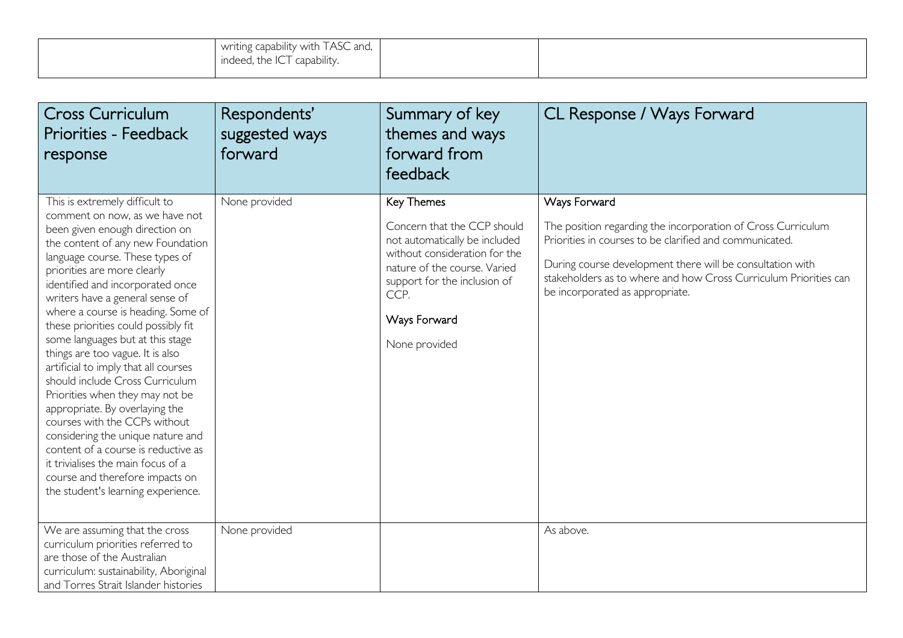| $\sim$ $\sim$<br>writing capability with TASC and,<br>$\sim$<br>capability.<br>. the IC<br><b>Indeed</b><br>. |  |
|---------------------------------------------------------------------------------------------------------------|--|
|                                                                                                               |  |

| <b>Cross Curriculum</b><br><b>Priorities - Feedback</b><br>response                                                                                                                                                                                                                                                                                                                                                                                                                                                                                                                                                                                                                                                                                                                                               | Respondents'<br>suggested ways<br>forward | Summary of key<br>themes and ways<br>forward from<br>feedback                                                                                                                                                        | CL Response / Ways Forward                                                                                                                                                                                                                                                                                  |
|-------------------------------------------------------------------------------------------------------------------------------------------------------------------------------------------------------------------------------------------------------------------------------------------------------------------------------------------------------------------------------------------------------------------------------------------------------------------------------------------------------------------------------------------------------------------------------------------------------------------------------------------------------------------------------------------------------------------------------------------------------------------------------------------------------------------|-------------------------------------------|----------------------------------------------------------------------------------------------------------------------------------------------------------------------------------------------------------------------|-------------------------------------------------------------------------------------------------------------------------------------------------------------------------------------------------------------------------------------------------------------------------------------------------------------|
| This is extremely difficult to<br>comment on now, as we have not<br>been given enough direction on<br>the content of any new Foundation<br>language course. These types of<br>priorities are more clearly<br>identified and incorporated once<br>writers have a general sense of<br>where a course is heading. Some of<br>these priorities could possibly fit<br>some languages but at this stage<br>things are too vague. It is also<br>artificial to imply that all courses<br>should include Cross Curriculum<br>Priorities when they may not be<br>appropriate. By overlaying the<br>courses with the CCPs without<br>considering the unique nature and<br>content of a course is reductive as<br>it trivialises the main focus of a<br>course and therefore impacts on<br>the student's learning experience. | None provided                             | Key Themes<br>Concern that the CCP should<br>not automatically be included<br>without consideration for the<br>nature of the course. Varied<br>support for the inclusion of<br>CCP.<br>Ways Forward<br>None provided | Ways Forward<br>The position regarding the incorporation of Cross Curriculum<br>Priorities in courses to be clarified and communicated.<br>During course development there will be consultation with<br>stakeholders as to where and how Cross Curriculum Priorities can<br>be incorporated as appropriate. |
| We are assuming that the cross<br>curriculum priorities referred to<br>are those of the Australian<br>curriculum: sustainability, Aboriginal<br>and Torres Strait Islander histories                                                                                                                                                                                                                                                                                                                                                                                                                                                                                                                                                                                                                              | None provided                             |                                                                                                                                                                                                                      | As above.                                                                                                                                                                                                                                                                                                   |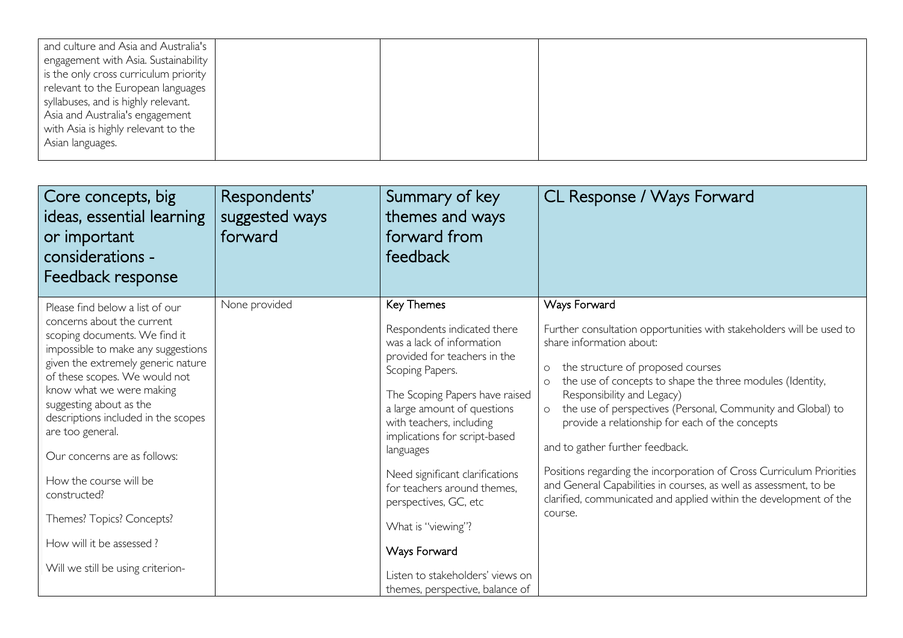| and culture and Asia and Australia's  |  |  |
|---------------------------------------|--|--|
| engagement with Asia. Sustainability  |  |  |
| is the only cross curriculum priority |  |  |
| relevant to the European languages    |  |  |
| syllabuses, and is highly relevant.   |  |  |
| Asia and Australia's engagement       |  |  |
| with Asia is highly relevant to the   |  |  |
| Asian languages.                      |  |  |
|                                       |  |  |

| Core concepts, big<br>ideas, essential learning<br>or important<br>considerations -<br>Feedback response                                                                                                                                                                                                                                                                                                                                                                                              | Respondents'<br>suggested ways<br>forward | Summary of key<br>themes and ways<br>forward from<br>feedback                                                                                                                                                                                                                                                                                                                                                                                                                | CL Response / Ways Forward                                                                                                                                                                                                                                                                                                                                                                                                                                                                                                                                                                                                                                          |
|-------------------------------------------------------------------------------------------------------------------------------------------------------------------------------------------------------------------------------------------------------------------------------------------------------------------------------------------------------------------------------------------------------------------------------------------------------------------------------------------------------|-------------------------------------------|------------------------------------------------------------------------------------------------------------------------------------------------------------------------------------------------------------------------------------------------------------------------------------------------------------------------------------------------------------------------------------------------------------------------------------------------------------------------------|---------------------------------------------------------------------------------------------------------------------------------------------------------------------------------------------------------------------------------------------------------------------------------------------------------------------------------------------------------------------------------------------------------------------------------------------------------------------------------------------------------------------------------------------------------------------------------------------------------------------------------------------------------------------|
| Please find below a list of our<br>concerns about the current<br>scoping documents. We find it<br>impossible to make any suggestions<br>given the extremely generic nature<br>of these scopes. We would not<br>know what we were making<br>suggesting about as the<br>descriptions included in the scopes<br>are too general.<br>Our concerns are as follows:<br>How the course will be<br>constructed?<br>Themes? Topics? Concepts?<br>How will it be assessed?<br>Will we still be using criterion- | None provided                             | Key Themes<br>Respondents indicated there<br>was a lack of information<br>provided for teachers in the<br>Scoping Papers.<br>The Scoping Papers have raised<br>a large amount of questions<br>with teachers, including<br>implications for script-based<br>languages<br>Need significant clarifications<br>for teachers around themes.<br>perspectives, GC, etc<br>What is "viewing"?<br>Ways Forward<br>Listen to stakeholders' views on<br>themes, perspective, balance of | Ways Forward<br>Further consultation opportunities with stakeholders will be used to<br>share information about:<br>the structure of proposed courses<br>$\circ$<br>the use of concepts to shape the three modules (Identity,<br>$\circ$<br>Responsibility and Legacy)<br>the use of perspectives (Personal, Community and Global) to<br>$\circ$<br>provide a relationship for each of the concepts<br>and to gather further feedback.<br>Positions regarding the incorporation of Cross Curriculum Priorities<br>and General Capabilities in courses, as well as assessment, to be<br>clarified, communicated and applied within the development of the<br>course. |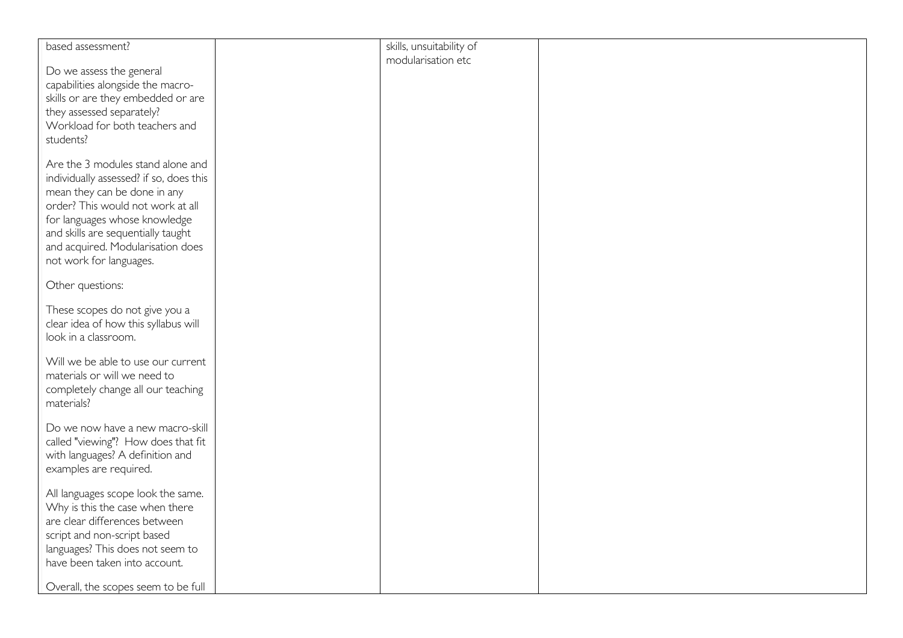| modularisation etc<br>Do we assess the general<br>capabilities alongside the macro-<br>skills or are they embedded or are<br>they assessed separately?<br>Workload for both teachers and<br>students?<br>Are the 3 modules stand alone and<br>individually assessed? if so, does this<br>mean they can be done in any<br>order? This would not work at all<br>for languages whose knowledge<br>and skills are sequentially taught<br>and acquired. Modularisation does<br>not work for languages.<br>Other questions:<br>These scopes do not give you a<br>clear idea of how this syllabus will<br>look in a classroom.<br>Will we be able to use our current<br>materials or will we need to<br>completely change all our teaching<br>materials?<br>Do we now have a new macro-skill<br>called "viewing"? How does that fit<br>with languages? A definition and<br>examples are required. | based assessment? | skills, unsuitability of |  |
|--------------------------------------------------------------------------------------------------------------------------------------------------------------------------------------------------------------------------------------------------------------------------------------------------------------------------------------------------------------------------------------------------------------------------------------------------------------------------------------------------------------------------------------------------------------------------------------------------------------------------------------------------------------------------------------------------------------------------------------------------------------------------------------------------------------------------------------------------------------------------------------------|-------------------|--------------------------|--|
|                                                                                                                                                                                                                                                                                                                                                                                                                                                                                                                                                                                                                                                                                                                                                                                                                                                                                            |                   |                          |  |
|                                                                                                                                                                                                                                                                                                                                                                                                                                                                                                                                                                                                                                                                                                                                                                                                                                                                                            |                   |                          |  |
|                                                                                                                                                                                                                                                                                                                                                                                                                                                                                                                                                                                                                                                                                                                                                                                                                                                                                            |                   |                          |  |
|                                                                                                                                                                                                                                                                                                                                                                                                                                                                                                                                                                                                                                                                                                                                                                                                                                                                                            |                   |                          |  |
|                                                                                                                                                                                                                                                                                                                                                                                                                                                                                                                                                                                                                                                                                                                                                                                                                                                                                            |                   |                          |  |
|                                                                                                                                                                                                                                                                                                                                                                                                                                                                                                                                                                                                                                                                                                                                                                                                                                                                                            |                   |                          |  |
|                                                                                                                                                                                                                                                                                                                                                                                                                                                                                                                                                                                                                                                                                                                                                                                                                                                                                            |                   |                          |  |
|                                                                                                                                                                                                                                                                                                                                                                                                                                                                                                                                                                                                                                                                                                                                                                                                                                                                                            |                   |                          |  |
|                                                                                                                                                                                                                                                                                                                                                                                                                                                                                                                                                                                                                                                                                                                                                                                                                                                                                            |                   |                          |  |
|                                                                                                                                                                                                                                                                                                                                                                                                                                                                                                                                                                                                                                                                                                                                                                                                                                                                                            |                   |                          |  |
|                                                                                                                                                                                                                                                                                                                                                                                                                                                                                                                                                                                                                                                                                                                                                                                                                                                                                            |                   |                          |  |
|                                                                                                                                                                                                                                                                                                                                                                                                                                                                                                                                                                                                                                                                                                                                                                                                                                                                                            |                   |                          |  |
|                                                                                                                                                                                                                                                                                                                                                                                                                                                                                                                                                                                                                                                                                                                                                                                                                                                                                            |                   |                          |  |
|                                                                                                                                                                                                                                                                                                                                                                                                                                                                                                                                                                                                                                                                                                                                                                                                                                                                                            |                   |                          |  |
|                                                                                                                                                                                                                                                                                                                                                                                                                                                                                                                                                                                                                                                                                                                                                                                                                                                                                            |                   |                          |  |
|                                                                                                                                                                                                                                                                                                                                                                                                                                                                                                                                                                                                                                                                                                                                                                                                                                                                                            |                   |                          |  |
|                                                                                                                                                                                                                                                                                                                                                                                                                                                                                                                                                                                                                                                                                                                                                                                                                                                                                            |                   |                          |  |
|                                                                                                                                                                                                                                                                                                                                                                                                                                                                                                                                                                                                                                                                                                                                                                                                                                                                                            |                   |                          |  |
|                                                                                                                                                                                                                                                                                                                                                                                                                                                                                                                                                                                                                                                                                                                                                                                                                                                                                            |                   |                          |  |
|                                                                                                                                                                                                                                                                                                                                                                                                                                                                                                                                                                                                                                                                                                                                                                                                                                                                                            |                   |                          |  |
|                                                                                                                                                                                                                                                                                                                                                                                                                                                                                                                                                                                                                                                                                                                                                                                                                                                                                            |                   |                          |  |
|                                                                                                                                                                                                                                                                                                                                                                                                                                                                                                                                                                                                                                                                                                                                                                                                                                                                                            |                   |                          |  |
|                                                                                                                                                                                                                                                                                                                                                                                                                                                                                                                                                                                                                                                                                                                                                                                                                                                                                            |                   |                          |  |
|                                                                                                                                                                                                                                                                                                                                                                                                                                                                                                                                                                                                                                                                                                                                                                                                                                                                                            |                   |                          |  |
|                                                                                                                                                                                                                                                                                                                                                                                                                                                                                                                                                                                                                                                                                                                                                                                                                                                                                            |                   |                          |  |
|                                                                                                                                                                                                                                                                                                                                                                                                                                                                                                                                                                                                                                                                                                                                                                                                                                                                                            |                   |                          |  |
|                                                                                                                                                                                                                                                                                                                                                                                                                                                                                                                                                                                                                                                                                                                                                                                                                                                                                            |                   |                          |  |
|                                                                                                                                                                                                                                                                                                                                                                                                                                                                                                                                                                                                                                                                                                                                                                                                                                                                                            |                   |                          |  |
|                                                                                                                                                                                                                                                                                                                                                                                                                                                                                                                                                                                                                                                                                                                                                                                                                                                                                            |                   |                          |  |
|                                                                                                                                                                                                                                                                                                                                                                                                                                                                                                                                                                                                                                                                                                                                                                                                                                                                                            |                   |                          |  |
|                                                                                                                                                                                                                                                                                                                                                                                                                                                                                                                                                                                                                                                                                                                                                                                                                                                                                            |                   |                          |  |
|                                                                                                                                                                                                                                                                                                                                                                                                                                                                                                                                                                                                                                                                                                                                                                                                                                                                                            |                   |                          |  |
|                                                                                                                                                                                                                                                                                                                                                                                                                                                                                                                                                                                                                                                                                                                                                                                                                                                                                            |                   |                          |  |
|                                                                                                                                                                                                                                                                                                                                                                                                                                                                                                                                                                                                                                                                                                                                                                                                                                                                                            |                   |                          |  |
|                                                                                                                                                                                                                                                                                                                                                                                                                                                                                                                                                                                                                                                                                                                                                                                                                                                                                            |                   |                          |  |
|                                                                                                                                                                                                                                                                                                                                                                                                                                                                                                                                                                                                                                                                                                                                                                                                                                                                                            |                   |                          |  |
|                                                                                                                                                                                                                                                                                                                                                                                                                                                                                                                                                                                                                                                                                                                                                                                                                                                                                            |                   |                          |  |
|                                                                                                                                                                                                                                                                                                                                                                                                                                                                                                                                                                                                                                                                                                                                                                                                                                                                                            |                   |                          |  |
| All languages scope look the same.                                                                                                                                                                                                                                                                                                                                                                                                                                                                                                                                                                                                                                                                                                                                                                                                                                                         |                   |                          |  |
| Why is this the case when there                                                                                                                                                                                                                                                                                                                                                                                                                                                                                                                                                                                                                                                                                                                                                                                                                                                            |                   |                          |  |
|                                                                                                                                                                                                                                                                                                                                                                                                                                                                                                                                                                                                                                                                                                                                                                                                                                                                                            |                   |                          |  |
| are clear differences between                                                                                                                                                                                                                                                                                                                                                                                                                                                                                                                                                                                                                                                                                                                                                                                                                                                              |                   |                          |  |
| script and non-script based                                                                                                                                                                                                                                                                                                                                                                                                                                                                                                                                                                                                                                                                                                                                                                                                                                                                |                   |                          |  |
| languages? This does not seem to                                                                                                                                                                                                                                                                                                                                                                                                                                                                                                                                                                                                                                                                                                                                                                                                                                                           |                   |                          |  |
| have been taken into account.                                                                                                                                                                                                                                                                                                                                                                                                                                                                                                                                                                                                                                                                                                                                                                                                                                                              |                   |                          |  |
|                                                                                                                                                                                                                                                                                                                                                                                                                                                                                                                                                                                                                                                                                                                                                                                                                                                                                            |                   |                          |  |
| Overall, the scopes seem to be full                                                                                                                                                                                                                                                                                                                                                                                                                                                                                                                                                                                                                                                                                                                                                                                                                                                        |                   |                          |  |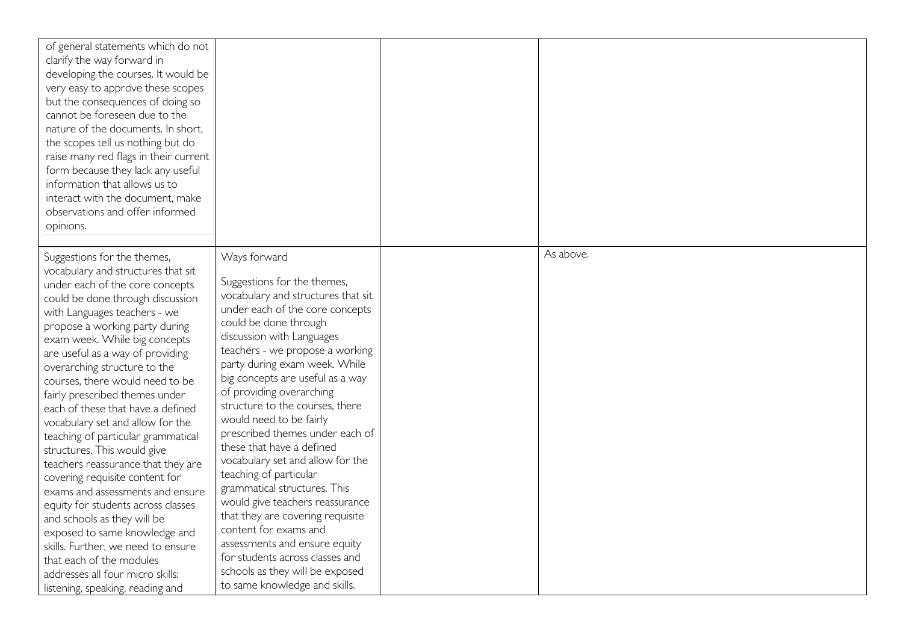| of general statements which do not<br>clarify the way forward in<br>developing the courses. It would be<br>very easy to approve these scopes<br>but the consequences of doing so<br>cannot be foreseen due to the<br>nature of the documents. In short,<br>the scopes tell us nothing but do<br>raise many red flags in their current<br>form because they lack any useful<br>information that allows us to<br>interact with the document, make<br>observations and offer informed<br>opinions.                                                                                                                                                                                                                                                                                                                                                                                                |                                                                                                                                                                                                                                                                                                                                                                                                                                                                                                                                                                                                                                                                                                                                                                                    |           |
|------------------------------------------------------------------------------------------------------------------------------------------------------------------------------------------------------------------------------------------------------------------------------------------------------------------------------------------------------------------------------------------------------------------------------------------------------------------------------------------------------------------------------------------------------------------------------------------------------------------------------------------------------------------------------------------------------------------------------------------------------------------------------------------------------------------------------------------------------------------------------------------------|------------------------------------------------------------------------------------------------------------------------------------------------------------------------------------------------------------------------------------------------------------------------------------------------------------------------------------------------------------------------------------------------------------------------------------------------------------------------------------------------------------------------------------------------------------------------------------------------------------------------------------------------------------------------------------------------------------------------------------------------------------------------------------|-----------|
| Suggestions for the themes,<br>vocabulary and structures that sit<br>under each of the core concepts<br>could be done through discussion<br>with Languages teachers - we<br>propose a working party during<br>exam week. While big concepts<br>are useful as a way of providing<br>overarching structure to the<br>courses, there would need to be<br>fairly prescribed themes under<br>each of these that have a defined<br>vocabulary set and allow for the<br>teaching of particular grammatical<br>structures. This would give<br>teachers reassurance that they are<br>covering requisite content for<br>exams and assessments and ensure<br>equity for students across classes<br>and schools as they will be<br>exposed to same knowledge and<br>skills. Further, we need to ensure<br>that each of the modules<br>addresses all four micro skills:<br>listening, speaking, reading and | Ways forward<br>Suggestions for the themes,<br>vocabulary and structures that sit<br>under each of the core concepts<br>could be done through<br>discussion with Languages<br>teachers - we propose a working<br>party during exam week. While<br>big concepts are useful as a way<br>of providing overarching<br>structure to the courses, there<br>would need to be fairly<br>prescribed themes under each of<br>these that have a defined<br>vocabulary set and allow for the<br>teaching of particular<br>grammatical structures. This<br>would give teachers reassurance<br>that they are covering requisite<br>content for exams and<br>assessments and ensure equity<br>for students across classes and<br>schools as they will be exposed<br>to same knowledge and skills. | As above. |